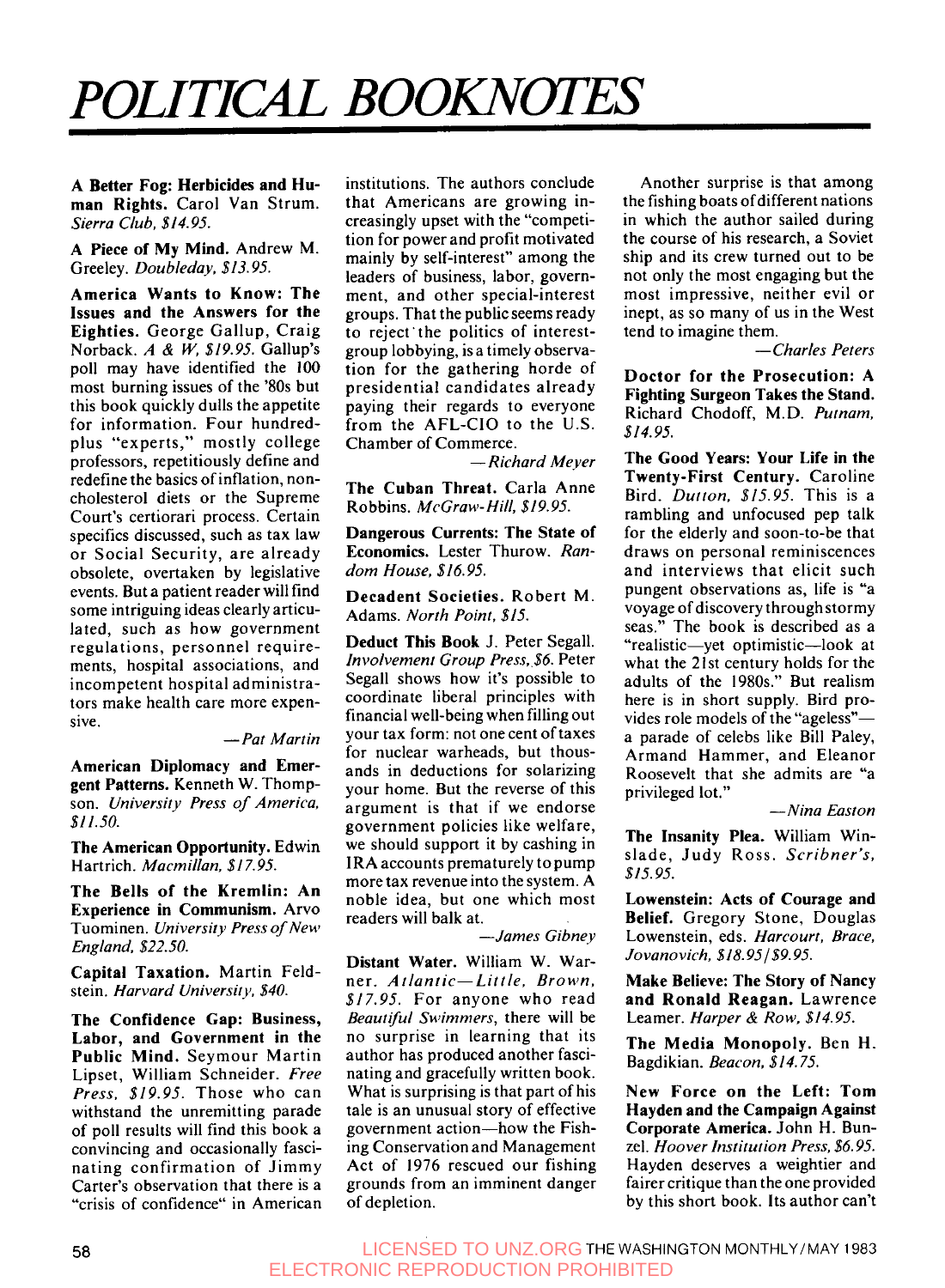## **POLITICAL BOOKNOTES**

**A Better Fog: Herbicides and Human Rights.** Carol Van Strum. *Sierra Club, \$14.95.* 

**A Piece of My Mind.** Andrew M. Greeley. *Doubleday. \$13.95.* 

**America Wants to Know: The Issues and the Answers for the Eighties.** George Gallup, Craig Norback. *A* & *W, \$19.95.* Gallup's poll may have identified the **100**  most burning issues of the '80s but this book quickly dulls the appetite for information. Four hundredplus "experts," mostly college professors, repetitiously define and redefine the basics of inflation, noncholesterol diets or the Supreme Court's certiorari process. Certain specifics discussed, such as tax law or Social Security, are already obsolete, overtaken by legislative events. But a patient reader will find some intriguing ideas clearlyarticulated, such as how government regulations, personnel requirements, hospital associations, and incompetent hospital administrators make health care more expensive.

## *-Pat Martin*

**American Diplomacy and Emergent Patterns.** Kenneth W. Thompson. *University Press of America, \$II.JO.* 

**The American Opportunity.** Edwin Hartrich. *Macmillan, \$17.95.* 

**The Bells of the Kremlin: An Experience in Communism.** Arvo Tuominen. *University Press of New England, \$22.50.* 

**Capital Taxation.** Martin Feldstein. *Harvard Universiry, \$40.* 

**The Confidence Gap: Business, Labor, and Government in the Public Mind.** Seymour Martin Lipset, William Schneider. *Free Press. \$19.95.* Those who can withstand the unremitting parade of poll results will find this book a convincing and occasionally fascinating confirmation of Jimmy Carter's observation that there is a "crisis of confidence" in American institutions. The authors conclude that Americans are growing increasingly upset with the "competition for power and profit motivated mainly by self-interest" among the leaders of business, labor, government, and other special-interest groups. That the publicseems ready to reject'the politics of interestgroup lobbying, is a timely observation for the gathering horde of presidential candidates already paying their regards to everyone from the AFL-CIO to the U.S. Chamber of Commerce.

*-Richard Meyer* 

**The Cuban Threat.** Carla Anne Robbins. *McGraw-Hill, \$19.95.* 

**Dangerous Currents: The State of Economics.** Lester Thurow. *Random House, \$16.95.* 

**Decadent Societies.** Robert M. Adams. *North Point, \$15.* 

**Deduct This Book** J. Peter Segall. *Involvement Group Press,.\$6.* Peter Segall shows how it's possible to coordinate liberal principles with financial well-being when filling out your tax form: not one cent of taxes for nuclear warheads, but thousands in deductions for solarizing your home. But the reverse of this argument is that if we endorse government policies like welfare, we should support it by cashing in IRA accounts prematurely to pump more tax revenue into the system. A noble idea, but one which most readers will balk at.

*-James Gibney* 

**Distant Water.** William W. Warne r. *A t lant ic- Lit t le, Brown, \$17.95.* For anyone who read *Beautfil Swimmers,* there will be no surprise in learning that its author has produced another fascinating and gracefully written book. What is surprising is that part of his tale is an unusual story of effective government action-how the Fishing Conservation and Management Act of 1976 rescued our fishing grounds from an imminent danger of depletion.

Another surprise is that among the fishing boats of different nations in which the author sailed during the course of his research, a Soviet ship and its crew turned out to be not only the most engaging but the most impressive, neither evil or inept, as so many of us in the West tend to imagine them.

*-Charles Peters* 

**Doctor for the Prosecution: A Fighting Surgeon Takes the Stand.**  Richard Chodoff, M.D. *Purnam, \$14.95.* 

**The Good Years: Your Life in the Twenty-First Century.** Caroline Bird. *Dutton. \$15.95.* This is a rambling and unfocused pep talk for the elderly and soon-to-be that draws on personal reminiscences and interviews that elicit such pungent observations as, life is "a voyage of discovery through stormy seas." The book is described as a "realistic-yet optimistic-look at what the 21st century holds for the adults of the **1980s."** But realism here is in short supply. Bird provides role models of the "ageless"a parade of celebs like Bill Paley, Armand Hammer, and Eleanor Roosevelt that she admits are "a privileged lot."

*-Nina Easton* 

**The Insanity Plea.** William Winslade, Judy Ross. *Scribner's, \$15.95.* 

**Lowenstein: Acts of Courage and Belief.** Gregory Stone, Douglas Lowenstein, eds. *Harcourt, Brace, Jovanovich, \$18.95 f \$9.95.* 

**Make Believe: The Story of Nancy and Ronald Reagan.** Lawrence Learner. *Harper* & *Row, \$14.95.* 

**The Media Monopoly.** Ben **H.**  Bagdikian. *Beacon, \$14.75.* 

**New Force on the Left: Tom Hayden and the Campaign Against Corporate America.** John H. Bunzel. *Hoover Institution Press, \$6.95.*  Hayden deserves a weightier and fairer critique than the one provided by this short book. Its author can't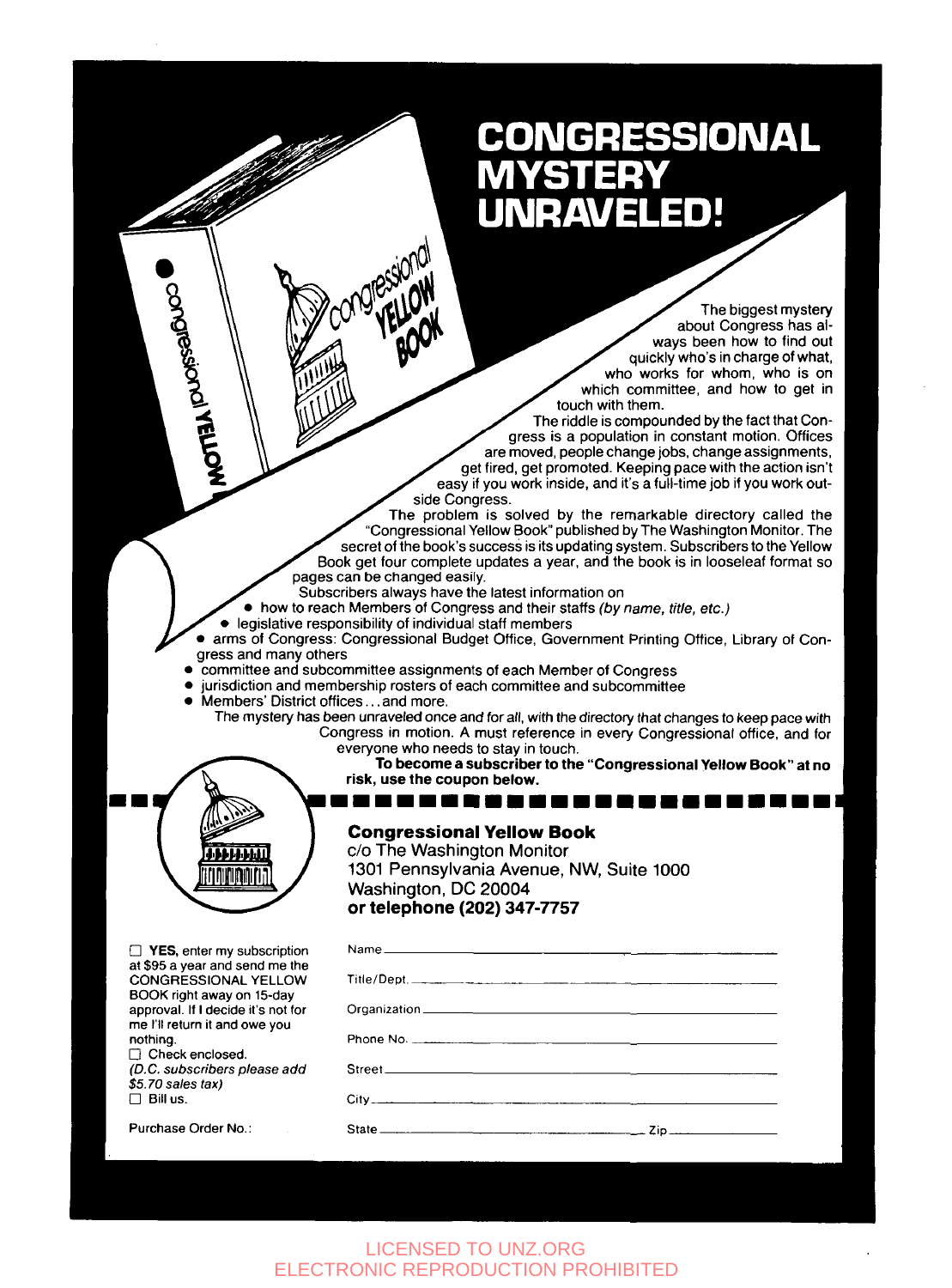## **CONGRESSIONAL** ED! RAVEI

The biggest mystery about Congress has always been how to find out quickly who's in charge of what. who works for whom, who is on which committee, and how to get in touch with them.

The riddle is compounded by the fact that Congress is a population in constant motion. Offices are moved, people change jobs, change assignments. get fired, get promoted. Keeping pace with the action isn't easy if you work inside, and it's a full-time job if you work outside Congress.

The problem is solved by the remarkable directory called the "Congressional Yellow Book" published by The Washington Monitor. The secret of the book's success is its updating system. Subscribers to the Yellow Book get four complete updates a year, and the book is in looseleaf format so pages can be changed easily.

To **become a subscriber to the "Congressional Yellow Book" at no** 

Zip.

Subscribers always have the latest information on<br>• how to reach Members of Congress and their staffs (by name, title, etc.)

● legislative responsibility of individual staff members<br>● arms of Congress: Congressional Budget Office, Government Printing Office, Library of Congress and many others

- committee and subcommittee assignments of each Member of Congress
	- *<sup>0</sup>*jurisdiction and membership rosters of each committee and subcommittee *0* Members' District offices.. .and more.

**risk, use the coupon below.** 

Washington, DC 20004 **or telephone (202) 347-7757** 

State

**Congressional Yellow Book c/o** The Washington Monitor

**11111111111111111111111~** 

- 
- The mystery has been unraveled once and for all, with the directory that changes to keep pace with Congress in motion. A must reference in every Congressional office, and for everyone who needs to stay in touch.

1301 Pennsylvania Avenue, NW, Suite 1000

иним rınınmırı:

**CONDESSORON YELLOW** 

at \$95 a year and send me the<br>CONGRESSIONAL YELLOW<br>BOOK right away on 15-day approval If I decide **it's** not for me 1'11 return it and owe you

YES, enter my subscription

Purchase Order No.:

nothing. *D* Check enclosed. *(D.C. subscribers please add*<br>\$5.70 sales tax)

 $\Box$  Bill us.

## LICENSED TO UNZ.ORG ELECTRONIC REPRODUCTION PROHIBITED